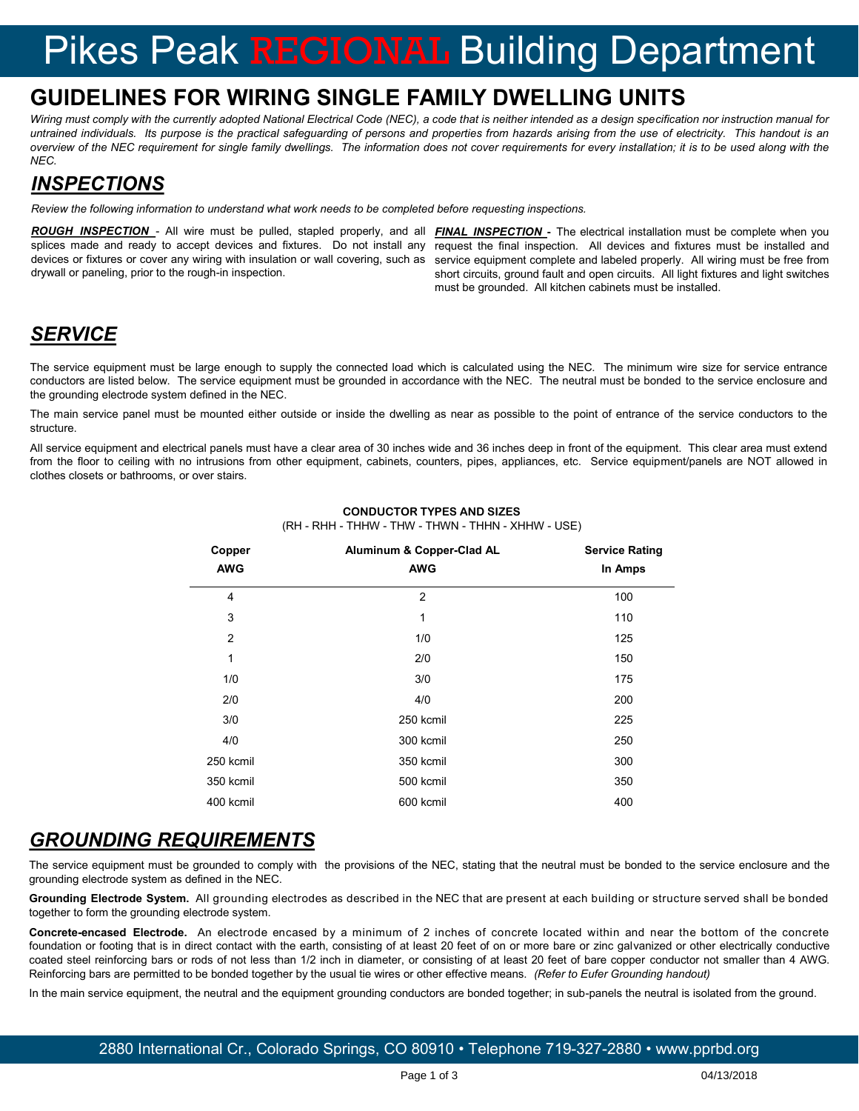# Pikes Peak REGIONAL Building Department

### **GUIDELINES FOR WIRING SINGLE FAMILY DWELLING UNITS**

Wiring must comply with the currently adopted National Electrical Code (NEC), a code that is neither intended as a design specification nor instruction manual for *untrained individuals. Its purpose is the practical safeguarding of persons and properties from hazards arising from the use of electricity. This handout is an overview of the NEC requirement for single family dwellings. The information does not cover requirements for every installation; it is to be used along with the NEC.* 

#### *INSPECTIONS*

*Review the following information to understand what work needs to be completed before requesting inspections.*

*ROUGH INSPECTION* - All wire must be pulled, stapled properly, and all *FINAL INSPECTION* **-** The electrical installation must be complete when you splices made and ready to accept devices and fixtures. Do not install any request the final inspection. All devices and fixtures must be installed and devices or fixtures or cover any wiring with insulation or wall covering, such as drywall or paneling, prior to the rough-in inspection.

service equipment complete and labeled properly. All wiring must be free from short circuits, ground fault and open circuits. All light fixtures and light switches must be grounded. All kitchen cabinets must be installed.

#### *SERVICE*

The service equipment must be large enough to supply the connected load which is calculated using the NEC. The minimum wire size for service entrance conductors are listed below. The service equipment must be grounded in accordance with the NEC. The neutral must be bonded to the service enclosure and the grounding electrode system defined in the NEC.

The main service panel must be mounted either outside or inside the dwelling as near as possible to the point of entrance of the service conductors to the structure.

All service equipment and electrical panels must have a clear area of 30 inches wide and 36 inches deep in front of the equipment. This clear area must extend from the floor to ceiling with no intrusions from other equipment, cabinets, counters, pipes, appliances, etc. Service equipment/panels are NOT allowed in clothes closets or bathrooms, or over stairs.

| Copper         | Aluminum & Copper-Clad AL | <b>Service Rating</b> |  |
|----------------|---------------------------|-----------------------|--|
| <b>AWG</b>     | <b>AWG</b>                | In Amps               |  |
| $\overline{4}$ | $\overline{2}$            | 100                   |  |
| 3              | 1                         | 110                   |  |
| $\overline{2}$ | 1/0                       | 125                   |  |
| 1              | 2/0                       | 150                   |  |
| 1/0            | 3/0                       | 175                   |  |
| 2/0            | 4/0                       | 200                   |  |
| 3/0            | 250 kcmil                 | 225                   |  |
| 4/0            | 300 kcmil                 | 250                   |  |
| 250 kcmil      | 350 kcmil                 | 300                   |  |
| 350 kcmil      | 500 kcmil                 | 350                   |  |
| 400 kcmil      | 600 kcmil                 | 400                   |  |

#### **CONDUCTOR TYPES AND SIZES** (RH - RHH - THHW - THW - THWN - THHN - XHHW - USE)

#### *GROUNDING REQUIREMENTS*

The service equipment must be grounded to comply with the provisions of the NEC, stating that the neutral must be bonded to the service enclosure and the grounding electrode system as defined in the NEC.

**Grounding Electrode System.** All grounding electrodes as described in the NEC that are present at each building or structure served shall be bonded together to form the grounding electrode system.

**Concrete-encased Electrode.** An electrode encased by a minimum of 2 inches of concrete located within and near the bottom of the concrete foundation or footing that is in direct contact with the earth, consisting of at least 20 feet of on or more bare or zinc galvanized or other electrically conductive coated steel reinforcing bars or rods of not less than 1/2 inch in diameter, or consisting of at least 20 feet of bare copper conductor not smaller than 4 AWG. Reinforcing bars are permitted to be bonded together by the usual tie wires or other effective means. *(Refer to Eufer Grounding handout)*

In the main service equipment, the neutral and the equipment grounding conductors are bonded together; in sub-panels the neutral is isolated from the ground.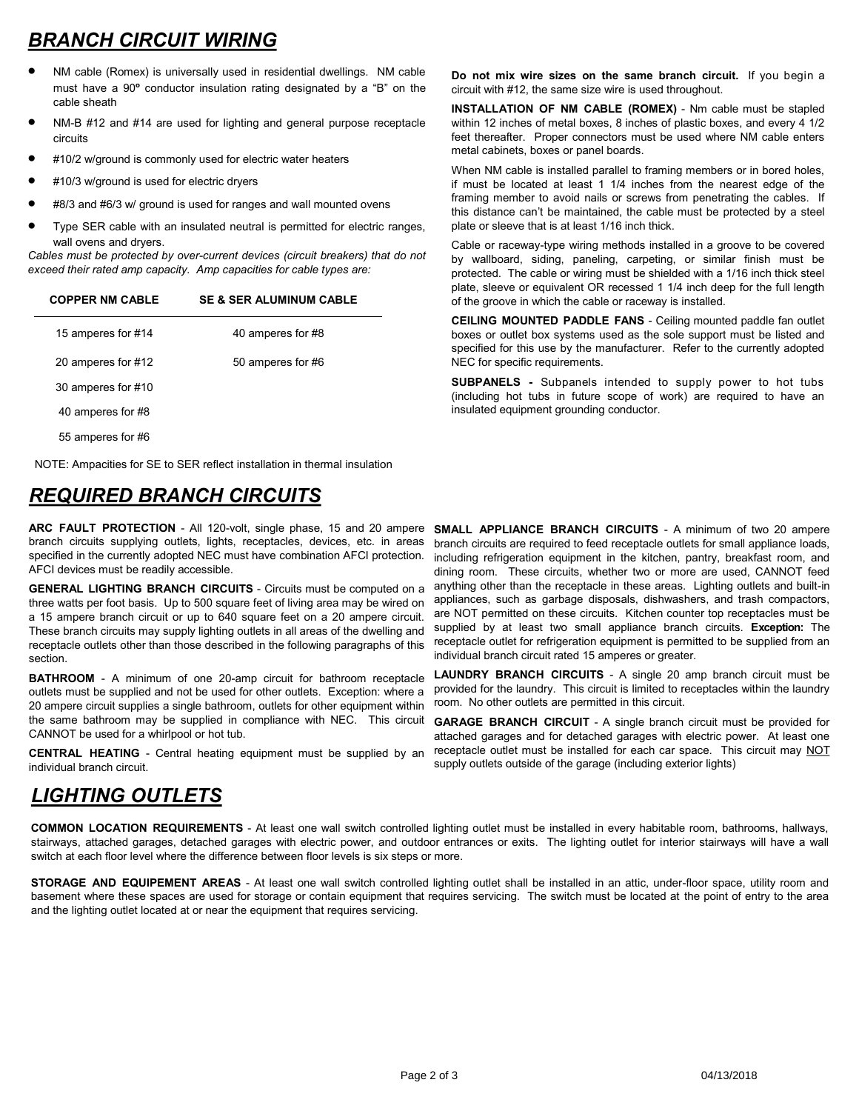# *BRANCH CIRCUIT WIRING*

- NM cable (Romex) is universally used in residential dwellings. NM cable must have a 90**º** conductor insulation rating designated by a "B" on the cable sheath
- NM-B #12 and #14 are used for lighting and general purpose receptacle circuits
- #10/2 w/ground is commonly used for electric water heaters
- #10/3 w/ground is used for electric dryers
- #8/3 and #6/3 w/ ground is used for ranges and wall mounted ovens
- Type SER cable with an insulated neutral is permitted for electric ranges, wall ovens and dryers.

*Cables must be protected by over-current devices (circuit breakers) that do not exceed their rated amp capacity. Amp capacities for cable types are:*

#### **COPPER NM CABLE SE & SER ALUMINUM CABLE**

| 15 amperes for #14 | 40 amperes for #8 |
|--------------------|-------------------|
| 20 amperes for #12 | 50 amperes for #6 |
| 30 amperes for #10 |                   |
| 40 amperes for #8  |                   |
| 55 amperes for #6  |                   |

NOTE: Ampacities for SE to SER reflect installation in thermal insulation

### *REQUIRED BRANCH CIRCUITS*

**ARC FAULT PROTECTION** - All 120-volt, single phase, 15 and 20 ampere **SMALL APPLIANCE BRANCH CIRCUITS** - A minimum of two 20 ampere branch circuits supplying outlets, lights, receptacles, devices, etc. in areas specified in the currently adopted NEC must have combination AFCI protection. AFCI devices must be readily accessible.

**GENERAL LIGHTING BRANCH CIRCUITS** - Circuits must be computed on a three watts per foot basis. Up to 500 square feet of living area may be wired on a 15 ampere branch circuit or up to 640 square feet on a 20 ampere circuit. These branch circuits may supply lighting outlets in all areas of the dwelling and receptacle outlets other than those described in the following paragraphs of this section.

**BATHROOM** - A minimum of one 20-amp circuit for bathroom receptacle outlets must be supplied and not be used for other outlets. Exception: where a 20 ampere circuit supplies a single bathroom, outlets for other equipment within the same bathroom may be supplied in compliance with NEC. This circuit CANNOT be used for a whirlpool or hot tub.

**CENTRAL HEATING** - Central heating equipment must be supplied by an individual branch circuit.

#### *LIGHTING OUTLETS*

**Do not mix wire sizes on the same branch circuit.** If you begin a circuit with #12, the same size wire is used throughout.

**INSTALLATION OF NM CABLE (ROMEX)** - Nm cable must be stapled within 12 inches of metal boxes, 8 inches of plastic boxes, and every 4 1/2 feet thereafter. Proper connectors must be used where NM cable enters metal cabinets, boxes or panel boards.

When NM cable is installed parallel to framing members or in bored holes, if must be located at least 1 1/4 inches from the nearest edge of the framing member to avoid nails or screws from penetrating the cables. If this distance can't be maintained, the cable must be protected by a steel plate or sleeve that is at least 1/16 inch thick.

Cable or raceway-type wiring methods installed in a groove to be covered by wallboard, siding, paneling, carpeting, or similar finish must be protected. The cable or wiring must be shielded with a 1/16 inch thick steel plate, sleeve or equivalent OR recessed 1 1/4 inch deep for the full length of the groove in which the cable or raceway is installed.

**CEILING MOUNTED PADDLE FANS** - Ceiling mounted paddle fan outlet boxes or outlet box systems used as the sole support must be listed and specified for this use by the manufacturer. Refer to the currently adopted NEC for specific requirements.

**SUBPANELS -** Subpanels intended to supply power to hot tubs (including hot tubs in future scope of work) are required to have an insulated equipment grounding conductor.

branch circuits are required to feed receptacle outlets for small appliance loads, including refrigeration equipment in the kitchen, pantry, breakfast room, and dining room. These circuits, whether two or more are used, CANNOT feed anything other than the receptacle in these areas. Lighting outlets and built-in appliances, such as garbage disposals, dishwashers, and trash compactors, are NOT permitted on these circuits. Kitchen counter top receptacles must be supplied by at least two small appliance branch circuits. **Exception:** The receptacle outlet for refrigeration equipment is permitted to be supplied from an individual branch circuit rated 15 amperes or greater.

**LAUNDRY BRANCH CIRCUITS** - A single 20 amp branch circuit must be provided for the laundry. This circuit is limited to receptacles within the laundry room. No other outlets are permitted in this circuit.

**GARAGE BRANCH CIRCUIT** - A single branch circuit must be provided for attached garages and for detached garages with electric power. At least one receptacle outlet must be installed for each car space. This circuit may NOT supply outlets outside of the garage (including exterior lights)

**COMMON LOCATION REQUIREMENTS** - At least one wall switch controlled lighting outlet must be installed in every habitable room, bathrooms, hallways, stairways, attached garages, detached garages with electric power, and outdoor entrances or exits. The lighting outlet for interior stairways will have a wall switch at each floor level where the difference between floor levels is six steps or more.

**STORAGE AND EQUIPEMENT AREAS** - At least one wall switch controlled lighting outlet shall be installed in an attic, under-floor space, utility room and basement where these spaces are used for storage or contain equipment that requires servicing. The switch must be located at the point of entry to the area and the lighting outlet located at or near the equipment that requires servicing.